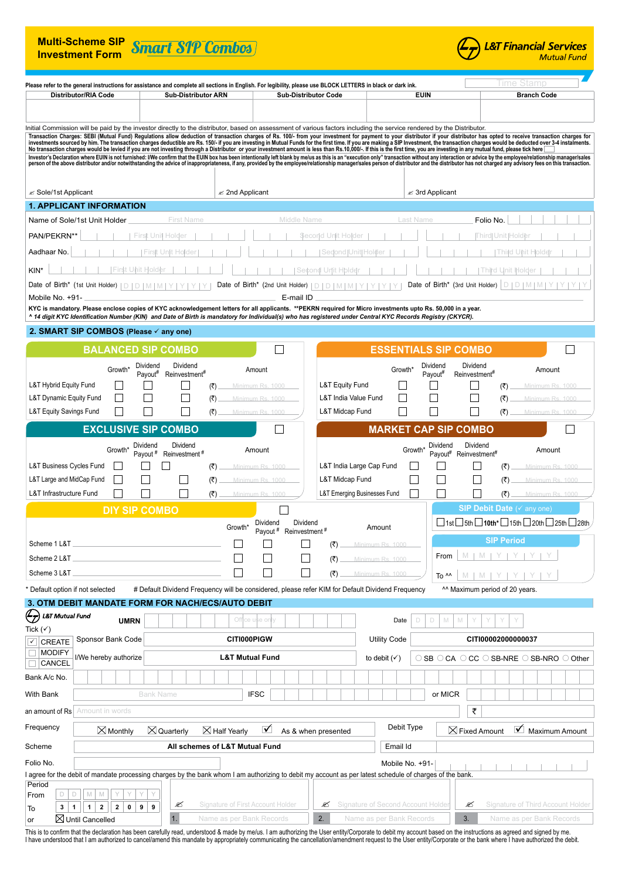| <b>Multi-Scheme SIP</b><br><b>Investment Form</b>                                                                                                                                                                                                                                                                                                                                                                                                                                                                                                                                                                                                                                                                                                                                                                                                                                                                                                                                                                                                                                                          |                                          |                             |                      | <b>Smart SIP Combos</b>                                                                          |            |                                |                                       |                                   |                             |     |                                             |                         |                                    |             |                                       |                                           |            |                             |                  |                                      | <u> &amp;T Financial Services</u><br><b>Mutual Fund</b>                            |
|------------------------------------------------------------------------------------------------------------------------------------------------------------------------------------------------------------------------------------------------------------------------------------------------------------------------------------------------------------------------------------------------------------------------------------------------------------------------------------------------------------------------------------------------------------------------------------------------------------------------------------------------------------------------------------------------------------------------------------------------------------------------------------------------------------------------------------------------------------------------------------------------------------------------------------------------------------------------------------------------------------------------------------------------------------------------------------------------------------|------------------------------------------|-----------------------------|----------------------|--------------------------------------------------------------------------------------------------|------------|--------------------------------|---------------------------------------|-----------------------------------|-----------------------------|-----|---------------------------------------------|-------------------------|------------------------------------|-------------|---------------------------------------|-------------------------------------------|------------|-----------------------------|------------------|--------------------------------------|------------------------------------------------------------------------------------|
| Please refer to the general instructions for assistance and complete all sections in English. For legibility, please use BLOCK LETTERS in black or dark ink.                                                                                                                                                                                                                                                                                                                                                                                                                                                                                                                                                                                                                                                                                                                                                                                                                                                                                                                                               |                                          |                             |                      |                                                                                                  |            |                                |                                       |                                   |                             |     |                                             |                         |                                    |             |                                       |                                           |            |                             | lime Stamb       |                                      |                                                                                    |
|                                                                                                                                                                                                                                                                                                                                                                                                                                                                                                                                                                                                                                                                                                                                                                                                                                                                                                                                                                                                                                                                                                            | <b>Distributor/RIA Code</b>              |                             |                      | <b>Sub-Distributor ARN</b>                                                                       |            |                                |                                       |                                   | <b>Sub-Distributor Code</b> |     |                                             |                         |                                    | <b>EUIN</b> |                                       |                                           |            |                             |                  | <b>Branch Code</b>                   |                                                                                    |
|                                                                                                                                                                                                                                                                                                                                                                                                                                                                                                                                                                                                                                                                                                                                                                                                                                                                                                                                                                                                                                                                                                            |                                          |                             |                      |                                                                                                  |            |                                |                                       |                                   |                             |     |                                             |                         |                                    |             |                                       |                                           |            |                             |                  |                                      |                                                                                    |
| Initial Commission will be paid by the investor directly to the distributor, based on assessment of various factors including the service rendered by the Distributor.<br>Transaction Charges: SEBI (Mutual Fund) Regulations allow deduction of transaction charges of Rs. 100/- from your investment for payment to your distributor if your distributor has opted to receive transaction charges for<br>No transaction charges would be levied if you are not investing through a Distributor or your investment amount is less than Rs.10,000/-. If this is the first time, you are investing in any mutual fund, please tick here<br>Investor's Declaration where EUIN is not furnished: I/We confirm that the EUIN box has been intentionally left blank by me/us as this is an "execution only" transaction without any interaction or advice by the employee/rel<br>person of the above distributor and/or notwithstanding the advice of inappropriateness, if any, provided by the employee/relationship manager/sales person of distributor and the distributor has not charged any advisory fee |                                          |                             |                      |                                                                                                  |            |                                |                                       |                                   |                             |     |                                             |                         |                                    |             |                                       |                                           |            |                             |                  |                                      |                                                                                    |
| $\le$ Sole/1st Applicant                                                                                                                                                                                                                                                                                                                                                                                                                                                                                                                                                                                                                                                                                                                                                                                                                                                                                                                                                                                                                                                                                   |                                          |                             |                      |                                                                                                  |            |                                | $\mathscr{\mathscr{E}}$ 2nd Applicant |                                   |                             |     |                                             |                         |                                    |             | $\mathscr{\mathscr{E}}$ 3rd Applicant |                                           |            |                             |                  |                                      |                                                                                    |
| <b>1. APPLICANT INFORMATION</b>                                                                                                                                                                                                                                                                                                                                                                                                                                                                                                                                                                                                                                                                                                                                                                                                                                                                                                                                                                                                                                                                            |                                          |                             |                      |                                                                                                  |            |                                |                                       |                                   |                             |     |                                             |                         |                                    |             |                                       |                                           |            |                             |                  |                                      |                                                                                    |
| Name of Sole/1st Unit Holder                                                                                                                                                                                                                                                                                                                                                                                                                                                                                                                                                                                                                                                                                                                                                                                                                                                                                                                                                                                                                                                                               |                                          |                             |                      | <b>First Name</b>                                                                                |            |                                |                                       |                                   | Middle Name                 |     |                                             |                         |                                    | Last Name   |                                       |                                           | Folio No.  |                             |                  |                                      |                                                                                    |
| PAN/PEKRN**                                                                                                                                                                                                                                                                                                                                                                                                                                                                                                                                                                                                                                                                                                                                                                                                                                                                                                                                                                                                                                                                                                |                                          |                             | First Unit Holder    |                                                                                                  |            |                                |                                       |                                   |                             |     | Second Unit Holde                           |                         |                                    |             |                                       |                                           | Third Unit |                             |                  |                                      |                                                                                    |
| Aadhaar No.                                                                                                                                                                                                                                                                                                                                                                                                                                                                                                                                                                                                                                                                                                                                                                                                                                                                                                                                                                                                                                                                                                |                                          |                             |                      | First Unit Holder                                                                                |            |                                |                                       |                                   |                             |     | Sedond   Unit   Holder                      |                         |                                    |             |                                       |                                           |            |                             | Thild Uhit Holde |                                      |                                                                                    |
| KIN <sup>®</sup>                                                                                                                                                                                                                                                                                                                                                                                                                                                                                                                                                                                                                                                                                                                                                                                                                                                                                                                                                                                                                                                                                           |                                          |                             |                      |                                                                                                  |            |                                |                                       |                                   |                             |     | Second Unit Holdel                          |                         |                                    |             |                                       |                                           |            | Third Unit Holde            |                  |                                      |                                                                                    |
| Date of Birth*<br>Mobile No. +91-                                                                                                                                                                                                                                                                                                                                                                                                                                                                                                                                                                                                                                                                                                                                                                                                                                                                                                                                                                                                                                                                          | (1st Unit Holder)                        | ID.                         | D.<br>M              |                                                                                                  |            |                                |                                       | Date of Birth* (2nd Unit Holder)  | E-mail ID                   | ID. |                                             |                         |                                    |             | Date of Birth* (3rd Unit Holder)      |                                           |            | D                           | D.               |                                      |                                                                                    |
| KYC is mandatory. Please enclose copies of KYC acknowledgement letters for all applicants. **PEKRN required for Micro investments upto Rs. 50,000 in a year.                                                                                                                                                                                                                                                                                                                                                                                                                                                                                                                                                                                                                                                                                                                                                                                                                                                                                                                                               |                                          |                             |                      |                                                                                                  |            |                                |                                       |                                   |                             |     |                                             |                         |                                    |             |                                       |                                           |            |                             |                  |                                      |                                                                                    |
| ^ 14 digit KYC Identification Number (KIN) and Date of Birth is mandatory for Individual(s) who has registered under Central KYC Records Registry (CKYCR).                                                                                                                                                                                                                                                                                                                                                                                                                                                                                                                                                                                                                                                                                                                                                                                                                                                                                                                                                 |                                          |                             |                      |                                                                                                  |            |                                |                                       |                                   |                             |     |                                             |                         |                                    |             |                                       |                                           |            |                             |                  |                                      |                                                                                    |
| 2. SMART SIP COMBOS (Please $\checkmark$ any one)                                                                                                                                                                                                                                                                                                                                                                                                                                                                                                                                                                                                                                                                                                                                                                                                                                                                                                                                                                                                                                                          |                                          |                             |                      |                                                                                                  |            |                                |                                       |                                   |                             |     |                                             |                         |                                    |             |                                       |                                           |            |                             |                  |                                      |                                                                                    |
|                                                                                                                                                                                                                                                                                                                                                                                                                                                                                                                                                                                                                                                                                                                                                                                                                                                                                                                                                                                                                                                                                                            |                                          |                             |                      | <b>BALANCED SIP COMBO</b>                                                                        |            |                                |                                       |                                   |                             |     |                                             |                         | <b>ESSENTIALS SIP COMBO</b>        |             |                                       |                                           |            |                             |                  |                                      |                                                                                    |
|                                                                                                                                                                                                                                                                                                                                                                                                                                                                                                                                                                                                                                                                                                                                                                                                                                                                                                                                                                                                                                                                                                            |                                          | Growth*                     | Dividend<br>Payout#  | Dividend<br>Reinvestment#                                                                        |            |                                | Amount                                |                                   |                             |     |                                             |                         | Growth'                            |             | Dividend<br>Payout#                   | Dividend<br>Reinvestment#                 |            |                             |                  | Amount                               |                                                                                    |
| L&T Hybrid Equity Fund                                                                                                                                                                                                                                                                                                                                                                                                                                                                                                                                                                                                                                                                                                                                                                                                                                                                                                                                                                                                                                                                                     |                                          |                             |                      |                                                                                                  | (₹)        |                                | Minimum Rs. 1000                      |                                   |                             |     | L&T Equity Fund                             |                         |                                    |             |                                       |                                           |            | (₹)                         |                  | Minimum Rs. 1000                     |                                                                                    |
| L&T Dynamic Equity Fund<br>L&T Equity Savings Fund                                                                                                                                                                                                                                                                                                                                                                                                                                                                                                                                                                                                                                                                                                                                                                                                                                                                                                                                                                                                                                                         |                                          |                             |                      |                                                                                                  | (₹)<br>(₹) |                                | Minimum Rs. 1000<br>Minimum Rs.       |                                   |                             |     | L&T India Value Fund<br>L&T Midcap Fund     |                         |                                    |             |                                       |                                           |            | (₹)<br>(₹)                  |                  | Minimum Rs. 1000<br>Minimum Rs       |                                                                                    |
|                                                                                                                                                                                                                                                                                                                                                                                                                                                                                                                                                                                                                                                                                                                                                                                                                                                                                                                                                                                                                                                                                                            |                                          |                             |                      | <b>EXCLUSIVE SIP COMBO</b>                                                                       |            |                                |                                       |                                   |                             |     |                                             |                         | <b>MARKET CAP SIP COMBO</b>        |             |                                       |                                           |            |                             |                  |                                      |                                                                                    |
|                                                                                                                                                                                                                                                                                                                                                                                                                                                                                                                                                                                                                                                                                                                                                                                                                                                                                                                                                                                                                                                                                                            |                                          |                             | Dividend             | Dividend                                                                                         |            |                                |                                       |                                   |                             |     |                                             |                         |                                    |             | Dividend                              |                                           | Dividend   |                             |                  |                                      |                                                                                    |
|                                                                                                                                                                                                                                                                                                                                                                                                                                                                                                                                                                                                                                                                                                                                                                                                                                                                                                                                                                                                                                                                                                            |                                          | Growth*                     | Payout <sup>#</sup>  | Reinvestment <sup>#</sup>                                                                        |            |                                | Amount                                |                                   |                             |     |                                             |                         | Growth*                            |             | Payout#                               | Reinvestment#                             |            |                             |                  | Amount                               |                                                                                    |
| L&T Business Cycles Fund<br>L&T Large and MidCap Fund                                                                                                                                                                                                                                                                                                                                                                                                                                                                                                                                                                                                                                                                                                                                                                                                                                                                                                                                                                                                                                                      |                                          |                             |                      |                                                                                                  | (₹)<br>(₹) |                                |                                       | Minimum Rs. 1000                  |                             |     | L&T India Large Cap Fund<br>L&T Midcap Fund |                         |                                    |             |                                       |                                           |            |                             |                  | Minimum Rs. 1000<br>Minimum Rs. 1000 |                                                                                    |
| L&T Infrastructure Fund                                                                                                                                                                                                                                                                                                                                                                                                                                                                                                                                                                                                                                                                                                                                                                                                                                                                                                                                                                                                                                                                                    |                                          |                             |                      |                                                                                                  | (₹)        |                                | Minimum Rs. 1000                      | Minimum Rs. 1000                  |                             |     | L&T Emerging Businesses Fund                |                         |                                    |             |                                       |                                           |            | (₹)                         |                  | Minimum Rs. 1000                     |                                                                                    |
|                                                                                                                                                                                                                                                                                                                                                                                                                                                                                                                                                                                                                                                                                                                                                                                                                                                                                                                                                                                                                                                                                                            |                                          |                             | <b>DIY SIP COMBO</b> |                                                                                                  |            |                                |                                       |                                   |                             |     |                                             |                         |                                    |             |                                       |                                           |            | SIP Debit Date (v any one)  |                  |                                      |                                                                                    |
|                                                                                                                                                                                                                                                                                                                                                                                                                                                                                                                                                                                                                                                                                                                                                                                                                                                                                                                                                                                                                                                                                                            |                                          |                             |                      |                                                                                                  |            | Growth*                        |                                       | Dividend                          | Dividend                    |     |                                             | Amount                  |                                    |             |                                       |                                           |            |                             |                  |                                      | $\Box$ 1st $\Box$ 5th $\Box$ 10th* $\Box$ 15th $\Box$ 20th $\Box$ 25th $\Box$ 28th |
| Scheme 1 L&T                                                                                                                                                                                                                                                                                                                                                                                                                                                                                                                                                                                                                                                                                                                                                                                                                                                                                                                                                                                                                                                                                               |                                          |                             |                      |                                                                                                  |            |                                |                                       | Payout # Reinvestment #           |                             |     | (₹)                                         | Minimum Rs. 1000        |                                    |             |                                       |                                           |            | <b>SIP Period</b>           |                  |                                      |                                                                                    |
| Scheme 2 L&T                                                                                                                                                                                                                                                                                                                                                                                                                                                                                                                                                                                                                                                                                                                                                                                                                                                                                                                                                                                                                                                                                               |                                          |                             |                      |                                                                                                  |            |                                |                                       |                                   |                             |     | (3)                                         | Minimum Rs. 1000        |                                    |             | From                                  |                                           |            | $M$   $M$   $Y$   $Y$   $Y$ |                  |                                      |                                                                                    |
| Scheme 3 L&T                                                                                                                                                                                                                                                                                                                                                                                                                                                                                                                                                                                                                                                                                                                                                                                                                                                                                                                                                                                                                                                                                               |                                          |                             |                      |                                                                                                  |            |                                |                                       |                                   |                             |     | (3)                                         | Minimum Rs. 1000        |                                    |             | To ^^                                 |                                           |            | $M$   $M$   $Y$   $Y$   $Y$ |                  |                                      |                                                                                    |
| * Default option if not selected                                                                                                                                                                                                                                                                                                                                                                                                                                                                                                                                                                                                                                                                                                                                                                                                                                                                                                                                                                                                                                                                           |                                          |                             |                      | # Default Dividend Frequency will be considered, please refer KIM for Default Dividend Frequency |            |                                |                                       |                                   |                             |     |                                             |                         |                                    |             |                                       | <sup>^^</sup> Maximum period of 20 years. |            |                             |                  |                                      |                                                                                    |
| <b>3. OTM DEBIT MANDATE FORM FOR NACH/ECS/AUTO DEBIT</b>                                                                                                                                                                                                                                                                                                                                                                                                                                                                                                                                                                                                                                                                                                                                                                                                                                                                                                                                                                                                                                                   |                                          |                             |                      |                                                                                                  |            |                                |                                       |                                   |                             |     |                                             |                         |                                    |             |                                       |                                           |            |                             |                  |                                      |                                                                                    |
| $\mathcal{L}_{\mathcal{Z}}$<br><b>L&amp;T Mutual Fund</b>                                                                                                                                                                                                                                                                                                                                                                                                                                                                                                                                                                                                                                                                                                                                                                                                                                                                                                                                                                                                                                                  |                                          | <b>UMRN</b>                 |                      |                                                                                                  |            |                                | Office use only                       |                                   |                             |     |                                             |                         | Date                               | $\Box$<br>D | $\mathbb{M}$                          | M                                         |            |                             |                  |                                      |                                                                                    |
| Tick $(\checkmark)$<br>$\sqrt{2}$ CREATE                                                                                                                                                                                                                                                                                                                                                                                                                                                                                                                                                                                                                                                                                                                                                                                                                                                                                                                                                                                                                                                                   | Sponsor Bank Code                        |                             |                      |                                                                                                  |            |                                | <b>CITI000PIGW</b>                    |                                   |                             |     |                                             | <b>Utility Code</b>     |                                    |             |                                       |                                           |            | CITI00002000000037          |                  |                                      |                                                                                    |
| $\Box$ MODIFY                                                                                                                                                                                                                                                                                                                                                                                                                                                                                                                                                                                                                                                                                                                                                                                                                                                                                                                                                                                                                                                                                              | I/We hereby authorize                    |                             |                      |                                                                                                  |            |                                | <b>L&amp;T Mutual Fund</b>            |                                   |                             |     |                                             | to debit $(\checkmark)$ |                                    |             |                                       |                                           |            |                             |                  |                                      | $\circ$ SB $\circ$ CA $\circ$ CC $\circ$ SB-NRE $\circ$ SB-NRO $\circ$ Other       |
| CANCEL                                                                                                                                                                                                                                                                                                                                                                                                                                                                                                                                                                                                                                                                                                                                                                                                                                                                                                                                                                                                                                                                                                     |                                          |                             |                      |                                                                                                  |            |                                |                                       |                                   |                             |     |                                             |                         |                                    |             |                                       |                                           |            |                             |                  |                                      |                                                                                    |
| Bank A/c No.                                                                                                                                                                                                                                                                                                                                                                                                                                                                                                                                                                                                                                                                                                                                                                                                                                                                                                                                                                                                                                                                                               |                                          |                             |                      |                                                                                                  |            |                                |                                       |                                   |                             |     |                                             |                         |                                    |             |                                       |                                           |            |                             |                  |                                      |                                                                                    |
| With Bank                                                                                                                                                                                                                                                                                                                                                                                                                                                                                                                                                                                                                                                                                                                                                                                                                                                                                                                                                                                                                                                                                                  |                                          |                             | <b>Bank Name</b>     |                                                                                                  |            |                                | <b>IFSC</b>                           |                                   |                             |     |                                             |                         |                                    |             | or MICR                               |                                           |            |                             |                  |                                      |                                                                                    |
| an amount of Rs                                                                                                                                                                                                                                                                                                                                                                                                                                                                                                                                                                                                                                                                                                                                                                                                                                                                                                                                                                                                                                                                                            | Amount in words                          |                             |                      |                                                                                                  |            |                                |                                       |                                   |                             |     |                                             |                         |                                    |             |                                       | ₹                                         |            |                             |                  |                                      |                                                                                    |
| Frequency                                                                                                                                                                                                                                                                                                                                                                                                                                                                                                                                                                                                                                                                                                                                                                                                                                                                                                                                                                                                                                                                                                  |                                          | $\boxtimes$ Monthly         |                      | $\boxtimes$ Quarterly                                                                            |            | $\boxtimes$ Half Yearly        |                                       | ⊻                                 |                             |     | As & when presented                         |                         | Debit Type                         |             |                                       | $\boxtimes$ Fixed Amount                  |            |                             |                  |                                      | $\triangledown$ Maximum Amount                                                     |
| Scheme                                                                                                                                                                                                                                                                                                                                                                                                                                                                                                                                                                                                                                                                                                                                                                                                                                                                                                                                                                                                                                                                                                     |                                          |                             |                      |                                                                                                  |            | All schemes of L&T Mutual Fund |                                       |                                   |                             |     |                                             |                         | Email Id                           |             |                                       |                                           |            |                             |                  |                                      |                                                                                    |
| Folio No.                                                                                                                                                                                                                                                                                                                                                                                                                                                                                                                                                                                                                                                                                                                                                                                                                                                                                                                                                                                                                                                                                                  |                                          |                             |                      |                                                                                                  |            |                                |                                       |                                   |                             |     |                                             |                         | Mobile No. +91-                    |             |                                       |                                           |            |                             |                  |                                      |                                                                                    |
| I agree for the debit of mandate processing charges by the bank whom I am authorizing to debit my account as per latest schedule of charges of the bank.<br>Period                                                                                                                                                                                                                                                                                                                                                                                                                                                                                                                                                                                                                                                                                                                                                                                                                                                                                                                                         |                                          |                             |                      |                                                                                                  |            |                                |                                       |                                   |                             |     |                                             |                         |                                    |             |                                       |                                           |            |                             |                  |                                      |                                                                                    |
| $D$ $D$<br>From<br>$3 \mid 1$                                                                                                                                                                                                                                                                                                                                                                                                                                                                                                                                                                                                                                                                                                                                                                                                                                                                                                                                                                                                                                                                              | M<br>M<br>$\overline{2}$<br>$\mathbf{1}$ | $\mathbf{2}$<br>$\mathbf 0$ | Y<br>9<br>9          | €                                                                                                |            |                                |                                       | Signature of First Account Holder |                             | ≤   |                                             |                         | Signature of Second Account Holder |             |                                       | €                                         |            |                             |                  |                                      | Signature of Third Account Holder                                                  |
| To<br>or                                                                                                                                                                                                                                                                                                                                                                                                                                                                                                                                                                                                                                                                                                                                                                                                                                                                                                                                                                                                                                                                                                   | ⊠ Until Cancelled                        |                             |                      | 1.                                                                                               |            |                                |                                       | Name as per Bank Records          |                             | 2.  |                                             |                         | Name as per Bank Records           |             |                                       | 3.                                        |            |                             |                  | Name as per Bank Records             |                                                                                    |

This is to confirm that the declaration has been carefully read, understood & made by me/us. I am authorizing the User entity/Corporate to debit my account based on the instructions as agreed and signed by me.<br>I have under